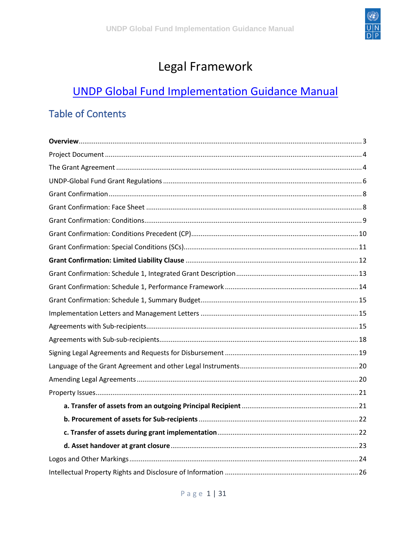

#### Legal Framework

### **UNDP Global Fund Implementation Guidance Manual**

#### **Table of Contents**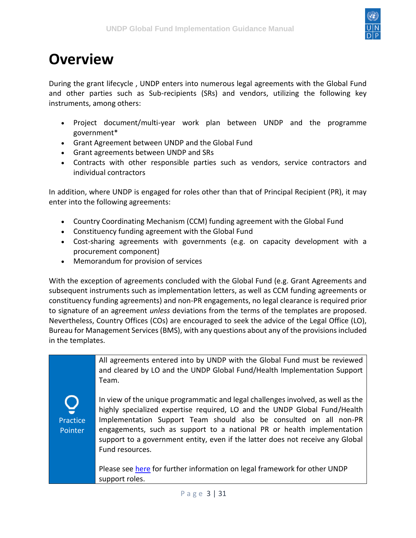

### <span id="page-2-0"></span>**Overview**

During the grant lifecycle , UNDP enters into numerous legal agreements with the Global Fund and other parties such as Sub-recipients (SRs) and vendors, utilizing the following key instruments, among others:

- Project document/multi-year work plan between UNDP and the programme government\*
- Grant Agreement between UNDP and the Global Fund
- Grant agreements between UNDP and SRs
- Contracts with other responsible parties such as vendors, service contractors and individual contractors

In addition, where UNDP is engaged for roles other than that of Principal Recipient (PR), it may enter into the following agreements:

- Country Coordinating Mechanism (CCM) funding agreement with the Global Fund
- Constituency funding agreement with the Global Fund
- Cost-sharing agreements with governments (e.g. on capacity development with a procurement component)
- Memorandum for provision of services

With the exception of agreements concluded with the Global Fund (e.g. Grant Agreements and subsequent instruments such as implementation letters, as well as CCM funding agreements or constituency funding agreements) and non-PR engagements, no legal clearance is required prior to signature of an agreement *unless* deviations from the terms of the templates are proposed. Nevertheless, Country Offices (COs) are encouraged to seek the advice of the Legal Office (LO), Bureau for Management Services (BMS), with any questions about any of the provisions included in the templates.

> All agreements entered into by UNDP with the Global Fund must be reviewed and cleared by LO and the UNDP Global Fund/Health Implementation Support Team.

Practice Pointer

In view of the unique programmatic and legal challenges involved, as well as the highly specialized expertise required, LO and the UNDP Global Fund/Health Implementation Support Team should also be consulted on all non-PR engagements, such as support to a national PR or health implementation support to a government entity, even if the latter does not receive any Global Fund resources.

Please see [here](https://undphealthimplementation.org/functional-areas/legal-framework/legal-framework-for-other-undp-support-roles/) for further information on legal framework for other UNDP support roles.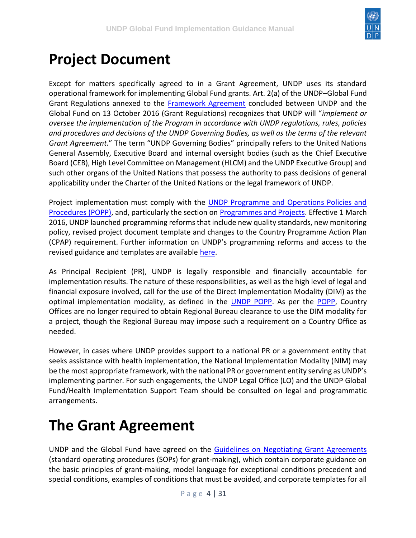

## <span id="page-3-0"></span>**Project Document**

Except for matters specifically agreed to in a Grant Agreement, UNDP uses its standard operational framework for implementing Global Fund grants. Art. 2(a) of the UNDP–Global Fund Grant Regulations annexed to the [Framework Agreement](http://api.undphealthimplementation.org/api.svc/proxy/https:/intranet.undp.org/unit/bpps/hhd/GFpartnership/UNDPasPR/Legal%20Framework%20for%20Global%20Fund%20Grant%20Implementati/UNDP%20Global%20Fund%20Framework%20Agreement%20(%20Searchable%20PDF).pdf) concluded between UNDP and the Global Fund on 13 October 2016 (Grant Regulations) recognizes that UNDP will "*implement or oversee the implementation of the Program in accordance with UNDP regulations, rules, policies and procedures and decisions of the UNDP Governing Bodies, as well as the terms of the relevant Grant Agreement.*" The term "UNDP Governing Bodies" principally refers to the United Nations General Assembly, Executive Board and internal oversight bodies (such as the Chief Executive Board (CEB), High Level Committee on Management (HLCM) and the UNDP Executive Group) and such other organs of the United Nations that possess the authority to pass decisions of general applicability under the Charter of the United Nations or the legal framework of UNDP.

Project implementation must comply with the [UNDP Programme and Operations Policies and](http://api.undphealthimplementation.org/api.svc/proxy/https:/popp.undp.org/SitePages/POPPRoot.aspx)  [Procedures](http://api.undphealthimplementation.org/api.svc/proxy/https:/popp.undp.org/SitePages/POPPRoot.aspx) [\(POPP\),](http://api.undphealthimplementation.org/api.svc/proxy/https:/popp.undp.org/SitePages/POPPRoot.aspx) and, particularly the section on [Programmes and Projects.](http://api.undphealthimplementation.org/api.svc/proxy/https:/popp.undp.org/SitePages/POPPBSUnit.aspx?BSUID=1) Effective 1 March 2016, UNDP launched programming reforms that include new quality standards, new monitoring policy, revised project document template and changes to the Country Programme Action Plan (CPAP) requirement. Further information on UNDP's programming reforms and access to the revised guidance and templates are available [here.](http://api.undphealthimplementation.org/api.svc/proxy/https:/popp.undp.org/SitePages/POPPSubject.aspx?SBJID=240)

As Principal Recipient (PR), UNDP is legally responsible and financially accountable for implementation results. The nature of these responsibilities, as well as the high level of legal and financial exposure involved, call for the use of the Direct Implementation Modality (DIM) as the optimal implementation modality, as defined in the [UNDP POPP.](https://popp.undp.org/SitePages/POPPSubject.aspx?SBJID=12) As per the [POPP,](https://popp.undp.org/_layouts/15/WopiFrame.aspx?sourcedoc=/UNDP_POPP_DOCUMENT_LIBRARY/Public/PPM_Design_Appraise%20and%20Approve.docx&action=default) Country Offices are no longer required to obtain Regional Bureau clearance to use the DIM modality for a project, though the Regional Bureau may impose such a requirement on a Country Office as needed.

However, in cases where UNDP provides support to a national PR or a government entity that seeks assistance with health implementation, the National Implementation Modality (NIM) may be the most appropriate framework, with the national PR or government entity serving as UNDP's implementing partner. For such engagements, the UNDP Legal Office (LO) and the UNDP Global Fund/Health Implementation Support Team should be consulted on legal and programmatic arrangements.

## <span id="page-3-1"></span>**The Grant Agreement**

UNDP and the Global Fund have agreed on the [Guidelines on Negotiating Grant Agreements](http://api.undphealthimplementation.org/api.svc/proxy/https:/intranet.undp.org/unit/bpps/hhd/GFpartnership/UNDPasPR/Legal%20Framework%20for%20Global%20Fund%20Grant%20Implementati/Guidelines%20on%20Negotiating%20Grant%20Agreements_SoPs%20on%20Grant%20Making.pdf) (standard operating procedures (SOPs) for grant-making), which contain corporate guidance on the basic principles of grant-making, model language for exceptional conditions precedent and special conditions, examples of conditions that must be avoided, and corporate templates for all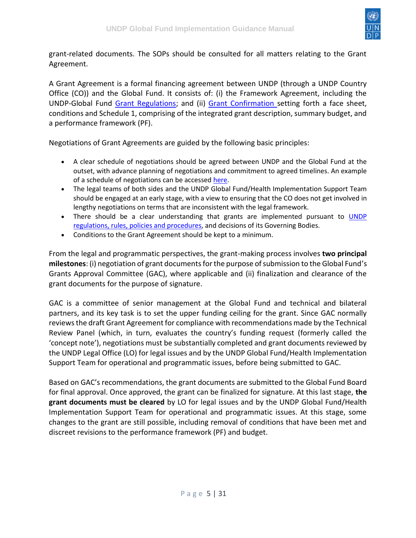

grant-related documents. The SOPs should be consulted for all matters relating to the Grant Agreement.

A Grant Agreement is a formal financing agreement between UNDP (through a UNDP Country Office (CO)) and the Global Fund. It consists of: (i) the Framework Agreement, including the UNDP-Global Fund [Grant Regulations;](http://api.undphealthimplementation.org/api.svc/proxy/https:/intranet.undp.org/unit/bpps/hhd/GFpartnership/UNDPasPR/Legal%20Framework%20for%20Global%20Fund%20Grant%20Implementati/UNDP%20Global%20Fund%20Framework%20Agreement%20(%20Searchable%20PDF).pdf) and (ii) [Grant Confirmation s](http://api.undphealthimplementation.org/api.svc/proxy/https:/intranet.undp.org/unit/bpps/hhd/GFpartnership/UNDPasPR/Legal%20Framework%20for%20Global%20Fund%20Grant%20Implementati/Template%20UNDP%20Grant%20Confirmation.docx)etting forth a face sheet, conditions and Schedule 1, comprising of the integrated grant description, summary budget, and a performance framework (PF).

Negotiations of Grant Agreements are guided by the following basic principles:

- A clear schedule of negotiations should be agreed between UNDP and the Global Fund at the outset, with advance planning of negotiations and commitment to agreed timelines. An example of a schedule of negotiations can be accessed [here.](http://api.undphealthimplementation.org/api.svc/proxy/https:/intranet.undp.org/unit/bpps/hhd/GFpartnership/UNDPasPR/Legal%20Framework%20for%20Global%20Fund%20Grant%20Implementati/Proposed%20Schedule%20of%20GA%20Negotiations.docx)
- The legal teams of both sides and the UNDP Global Fund/Health Implementation Support Team should be engaged at an early stage, with a view to ensuring that the CO does not get involved in lengthy negotiations on terms that are inconsistent with the legal framework.
- There should be a clear understanding that grants are implemented pursuant to **UNDP** [regulations, rules, policies and procedures,](http://api.undphealthimplementation.org/api.svc/proxy/https:/popp.undp.org/SitePages/POPPRoot.aspx) and decisions of its Governing Bodies.
- Conditions to the Grant Agreement should be kept to a minimum.

From the legal and programmatic perspectives, the grant-making process involves **two principal milestones**: (i) negotiation of grant documents for the purpose of submission to the Global Fund's Grants Approval Committee (GAC), where applicable and (ii) finalization and clearance of the grant documents for the purpose of signature.

GAC is a committee of senior management at the Global Fund and technical and bilateral partners, and its key task is to set the upper funding ceiling for the grant. Since GAC normally reviews the draft Grant Agreement for compliance with recommendations made by the Technical Review Panel (which, in turn, evaluates the country's funding request (formerly called the 'concept note'), negotiations must be substantially completed and grant documents reviewed by the UNDP Legal Office (LO) for legal issues and by the UNDP Global Fund/Health Implementation Support Team for operational and programmatic issues, before being submitted to GAC.

Based on GAC's recommendations, the grant documents are submitted to the Global Fund Board for final approval. Once approved, the grant can be finalized for signature. At this last stage, **the grant documents must be cleared** by LO for legal issues and by the UNDP Global Fund/Health Implementation Support Team for operational and programmatic issues. At this stage, some changes to the grant are still possible, including removal of conditions that have been met and discreet revisions to the performance framework (PF) and budget.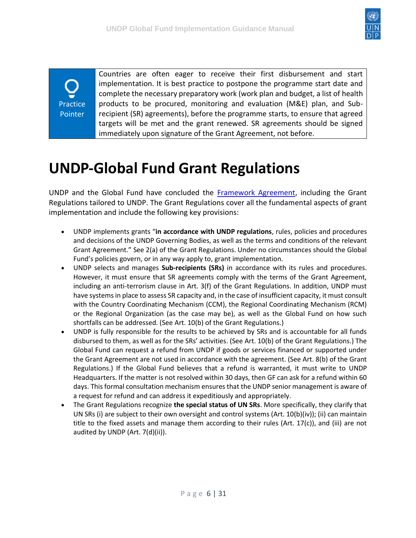

**Practice** Pointer

Countries are often eager to receive their first disbursement and start implementation. It is best practice to postpone the programme start date and complete the necessary preparatory work (work plan and budget, a list of health products to be procured, monitoring and evaluation (M&E) plan, and Subrecipient (SR) agreements), before the programme starts, to ensure that agreed targets will be met and the grant renewed. SR agreements should be signed immediately upon signature of the Grant Agreement, not before.

## <span id="page-5-0"></span>**UNDP-Global Fund Grant Regulations**

UNDP and the Global Fund have concluded the [Framework Agreement,](http://api.undphealthimplementation.org/api.svc/proxy/https:/intranet.undp.org/unit/bpps/hhd/GFpartnership/UNDPasPR/Legal%20Framework%20for%20Global%20Fund%20Grant%20Implementati/UNDP%20Global%20Fund%20Framework%20Agreement%20(%20Searchable%20PDF).pdf) including the Grant Regulations tailored to UNDP. The Grant Regulations cover all the fundamental aspects of grant implementation and include the following key provisions:

- UNDP implements grants "**in accordance with UNDP regulations**, rules, policies and procedures and decisions of the UNDP Governing Bodies, as well as the terms and conditions of the relevant Grant Agreement." See 2(a) of the Grant Regulations. Under no circumstances should the Global Fund's policies govern, or in any way apply to, grant implementation.
- UNDP selects and manages **Sub-recipients (SRs)** in accordance with its rules and procedures. However, it must ensure that SR agreements comply with the terms of the Grant Agreement, including an anti-terrorism clause in Art. 3(f) of the Grant Regulations. In addition, UNDP must have systems in place to assess SR capacity and, in the case of insufficient capacity, it must consult with the Country Coordinating Mechanism (CCM), the Regional Coordinating Mechanism (RCM) or the Regional Organization (as the case may be), as well as the Global Fund on how such shortfalls can be addressed. (See Art. 10(b) of the Grant Regulations.)
- UNDP is fully responsible for the results to be achieved by SRs and is accountable for all funds disbursed to them, as well as for the SRs' activities. (See Art. 10(b) of the Grant Regulations.) The Global Fund can request a refund from UNDP if goods or services financed or supported under the Grant Agreement are not used in accordance with the agreement. (See Art. 8(b) of the Grant Regulations.) If the Global Fund believes that a refund is warranted, it must write to UNDP Headquarters. If the matter is not resolved within 30 days, then GF can ask for a refund within 60 days. This formal consultation mechanism ensures that the UNDP senior management is aware of a request for refund and can address it expeditiously and appropriately.
- The Grant Regulations recognize **the special status of UN SRs**. More specifically, they clarify that UN SRs (i) are subject to their own oversight and control systems (Art. 10(b)(iv)); (ii) can maintain title to the fixed assets and manage them according to their rules (Art. 17(c)), and (iii) are not audited by UNDP (Art. 7(d)(ii)).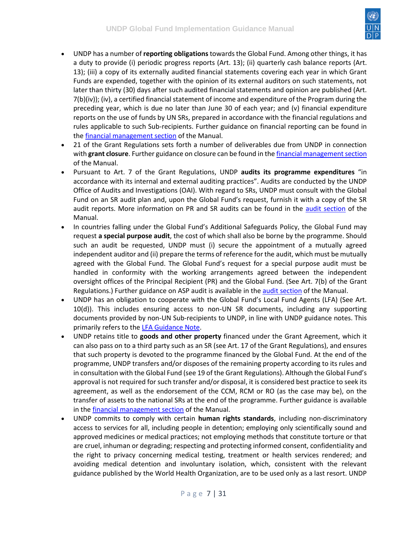

- UNDP has a number of **reporting obligations** towards the Global Fund. Among other things, it has a duty to provide (i) periodic progress reports (Art. 13); (ii) quarterly cash balance reports (Art. 13); (iii) a copy of its externally audited financial statements covering each year in which Grant Funds are expended, together with the opinion of its external auditors on such statements, not later than thirty (30) days after such audited financial statements and opinion are published (Art. 7(b)(iv)); (iv), a certified financial statement of income and expenditure of the Program during the preceding year, which is due no later than June 30 of each year; and (v) financial expenditure reports on the use of funds by UN SRs, prepared in accordance with the financial regulations and rules applicable to such Sub-recipients. Further guidance on financial reporting can be found in the [financial management section](https://undphealthimplementation.org/functional-areas/financial-management/grant-reporting/) of the Manual.
- 21 of the Grant Regulations sets forth a number of deliverables due from UNDP in connection with **grant closure**. Further guidance on closure can be found in the [financial management section](https://undphealthimplementation.org/functional-areas/financial-management/grant-closure/) of the Manual.
- Pursuant to Art. 7 of the Grant Regulations, UNDP **audits its programme expenditures** "in accordance with its internal and external auditing practices". Audits are conducted by the UNDP Office of Audits and Investigations (OAI). With regard to SRs, UNDP must consult with the Global Fund on an SR audit plan and, upon the Global Fund's request, furnish it with a copy of the SR audit reports. More information on PR and SR audits can be found in the [audit section](https://undphealthimplementation.org/functional-areas/audit-and-investigations/principal-recipient-audit/principal-recipient-audit-approach/) of the Manual.
- In countries falling under the Global Fund's Additional Safeguards Policy, the Global Fund may request **a special purpose audit**, the cost of which shall also be borne by the programme. Should such an audit be requested, UNDP must (i) secure the appointment of a mutually agreed independent auditor and (ii) prepare the terms of reference for the audit, which must be mutually agreed with the Global Fund. The Global Fund's request for a special purpose audit must be handled in conformity with the working arrangements agreed between the independent oversight offices of the Principal Recipient (PR) and the Global Fund. (See Art. 7(b) of the Grant Regulations.) Further guidance on ASP audit is available in the [audit section](https://undphealthimplementation.org/functional-areas/audit-and-investigations/principal-recipient-audit/principal-recipient-audit-approach/) of the Manual.
- UNDP has an obligation to cooperate with the Global Fund's Local Fund Agents (LFA) (See Art. 10(d)). This includes ensuring access to non-UN SR documents, including any supporting documents provided by non-UN Sub-recipients to UNDP, in line with UNDP guidance notes. This primarily refers to th[e LFA Guidance Note.](http://api.undphealthimplementation.org/api.svc/proxy/https:/intranet.undp.org/unit/bpps/hhd/GFpartnership/UNDPasPR/PR%20Start%20up%20Grant%20Making%20and%20Signing%20Library/Global%20Fund%20LFA%20Access%20to%20Information%20During%20the%20Grant%20Life%20Cycle%20Guidance%20Note%20(UNDP,%202010).pdf)
- UNDP retains title to **goods and other property** financed under the Grant Agreement, which it can also pass on to a third party such as an SR (see Art. 17 of the Grant Regulations), and ensures that such property is devoted to the programme financed by the Global Fund. At the end of the programme, UNDP transfers and/or disposes of the remaining property according to its rules and in consultation with the Global Fund (see 19 of the Grant Regulations). Although the Global Fund's approval is not required for such transfer and/or disposal, it is considered best practice to seek its agreement, as well as the endorsement of the CCM, RCM or RO (as the case may be), on the transfer of assets to the national SRs at the end of the programme. Further guidance is available in the [financial management section](https://undphealthimplementation.org/functional-areas/financial-management/grant-implementation/expenses-management/asset-management/) of the Manual.
- UNDP commits to comply with certain **human rights standards**, including non-discriminatory access to services for all, including people in detention; employing only scientifically sound and approved medicines or medical practices; not employing methods that constitute torture or that are cruel, inhuman or degrading; respecting and protecting informed consent, confidentiality and the right to privacy concerning medical testing, treatment or health services rendered; and avoiding medical detention and involuntary isolation, which, consistent with the relevant guidance published by the World Health Organization, are to be used only as a last resort. UNDP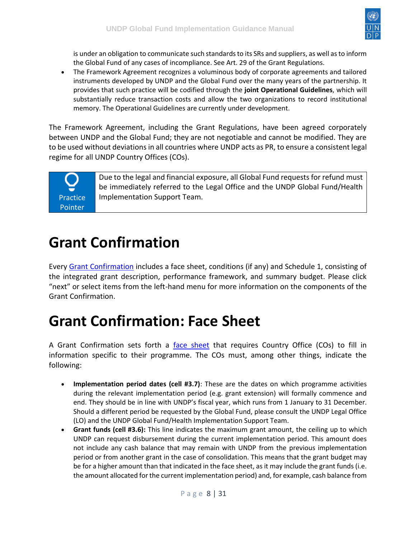

is under an obligation to communicate such standards to its SRs and suppliers, as well as to inform the Global Fund of any cases of incompliance. See Art. 29 of the Grant Regulations.

• The Framework Agreement recognizes a voluminous body of corporate agreements and tailored instruments developed by UNDP and the Global Fund over the many years of the partnership. It provides that such practice will be codified through the **joint Operational Guidelines**, which will substantially reduce transaction costs and allow the two organizations to record institutional memory. The Operational Guidelines are currently under development.

The Framework Agreement, including the Grant Regulations, have been agreed corporately between UNDP and the Global Fund; they are not negotiable and cannot be modified. They are to be used without deviations in all countries where UNDP acts as PR, to ensure a consistent legal regime for all UNDP Country Offices (COs).

**Practice** Pointer

Due to the legal and financial exposure, all Global Fund requests for refund must be immediately referred to the Legal Office and the UNDP Global Fund/Health Implementation Support Team.

### <span id="page-7-0"></span>**Grant Confirmation**

Every [Grant Confirmation](http://api.undphealthimplementation.org/api.svc/proxy/https:/intranet.undp.org/unit/bpps/hhd/GFpartnership/UNDPasPR/Legal%20Framework%20for%20Global%20Fund%20Grant%20Implementati/Template%20UNDP%20Grant%20Confirmation.docx) includes a face sheet, conditions (if any) and Schedule 1, consisting of the integrated grant description, performance framework, and summary budget. Please click "next" or select items from the left-hand menu for more information on the components of the Grant Confirmation.

#### <span id="page-7-1"></span>**Grant Confirmation: Face Sheet**

A Grant Confirmation sets forth a [face sheet](http://api.undphealthimplementation.org/api.svc/proxy/https:/intranet.undp.org/unit/bpps/hhd/GFpartnership/UNDPasPR/Legal%20Framework%20for%20Global%20Fund%20Grant%20Implementati/Face%20Sheet%20Template.pdf) that requires Country Office (COs) to fill in information specific to their programme. The COs must, among other things, indicate the following:

- **Implementation period dates (cell #3.7)**: These are the dates on which programme activities during the relevant implementation period (e.g. grant extension) will formally commence and end. They should be in line with UNDP's fiscal year, which runs from 1 January to 31 December. Should a different period be requested by the Global Fund, please consult the UNDP Legal Office (LO) and the UNDP Global Fund/Health Implementation Support Team.
- **Grant funds (cell #3.6):** This line indicates the maximum grant amount, the ceiling up to which UNDP can request disbursement during the current implementation period. This amount does not include any cash balance that may remain with UNDP from the previous implementation period or from another grant in the case of consolidation. This means that the grant budget may be for a higher amount than that indicated in the face sheet, as it may include the grant funds (i.e. the amount allocated for the current implementation period) and, for example, cash balance from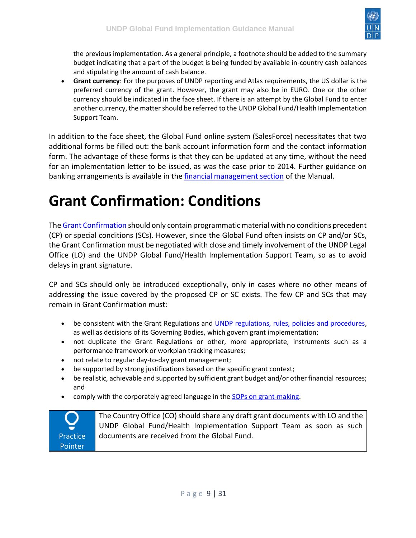

the previous implementation. As a general principle, a footnote should be added to the summary budget indicating that a part of the budget is being funded by available in-country cash balances and stipulating the amount of cash balance.

• **Grant currency**: For the purposes of UNDP reporting and Atlas requirements, the US dollar is the preferred currency of the grant. However, the grant may also be in EURO. One or the other currency should be indicated in the face sheet. If there is an attempt by the Global Fund to enter another currency, the matter should be referred to the UNDP Global Fund/Health Implementation Support Team.

In addition to the face sheet, the Global Fund online system (SalesForce) necessitates that two additional forms be filled out: the bank account information form and the contact information form. The advantage of these forms is that they can be updated at any time, without the need for an implementation letter to be issued, as was the case prior to 2014. Further guidance on banking arrangements is available in the [financial management section](https://undphealthimplementation.org/functional-areas/financial-management/grant-making-and-signing/secure-banking-arrangements/) of the Manual.

## <span id="page-8-0"></span>**Grant Confirmation: Conditions**

Th[e Grant Confirmation](http://api.undphealthimplementation.org/api.svc/proxy/https:/intranet.undp.org/unit/bpps/hhd/GFpartnership/UNDPasPR/Legal%20Framework%20for%20Global%20Fund%20Grant%20Implementati/Template%20UNDP%20Grant%20Confirmation.docx) should only contain programmatic material with no conditions precedent (CP) or special conditions (SCs). However, since the Global Fund often insists on CP and/or SCs, the Grant Confirmation must be negotiated with close and timely involvement of the UNDP Legal Office (LO) and the UNDP Global Fund/Health Implementation Support Team, so as to avoid delays in grant signature.

CP and SCs should only be introduced exceptionally, only in cases where no other means of addressing the issue covered by the proposed CP or SC exists. The few CP and SCs that may remain in Grant Confirmation must:

- be consistent with the Grant Regulations and [UNDP regulations, rules, policies and procedures,](http://api.undphealthimplementation.org/api.svc/proxy/https:/popp.undp.org/SitePages/POPPRoot.aspx) as well as decisions of its Governing Bodies, which govern grant implementation;
- not duplicate the Grant Regulations or other, more appropriate, instruments such as a performance framework or workplan tracking measures;
- not relate to regular day-to-day grant management;
- be supported by strong justifications based on the specific grant context;
- be realistic, achievable and supported by sufficient grant budget and/or other financial resources; and
- comply with the corporately agreed language in the **SOPs on grant-making**.



The Country Office (CO) should share any draft grant documents with LO and the UNDP Global Fund/Health Implementation Support Team as soon as such documents are received from the Global Fund.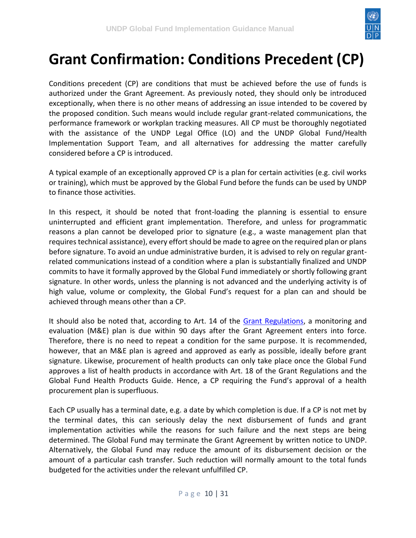

### <span id="page-9-0"></span>**Grant Confirmation: Conditions Precedent (CP)**

Conditions precedent (CP) are conditions that must be achieved before the use of funds is authorized under the Grant Agreement. As previously noted, they should only be introduced exceptionally, when there is no other means of addressing an issue intended to be covered by the proposed condition. Such means would include regular grant-related communications, the performance framework or workplan tracking measures. All CP must be thoroughly negotiated with the assistance of the UNDP Legal Office (LO) and the UNDP Global Fund/Health Implementation Support Team, and all alternatives for addressing the matter carefully considered before a CP is introduced.

A typical example of an exceptionally approved CP is a plan for certain activities (e.g. civil works or training), which must be approved by the Global Fund before the funds can be used by UNDP to finance those activities.

In this respect, it should be noted that front-loading the planning is essential to ensure uninterrupted and efficient grant implementation. Therefore, and unless for programmatic reasons a plan cannot be developed prior to signature (e.g., a waste management plan that requires technical assistance), every effort should be made to agree on the required plan or plans before signature. To avoid an undue administrative burden, it is advised to rely on regular grantrelated communications instead of a condition where a plan is substantially finalized and UNDP commits to have it formally approved by the Global Fund immediately or shortly following grant signature. In other words, unless the planning is not advanced and the underlying activity is of high value, volume or complexity, the Global Fund's request for a plan can and should be achieved through means other than a CP.

It should also be noted that, according to Art. 14 of the [Grant Regulations,](http://api.undphealthimplementation.org/api.svc/proxy/https:/intranet.undp.org/unit/bpps/hhd/GFpartnership/UNDPasPR/Legal%20Framework%20for%20Global%20Fund%20Grant%20Implementati/UNDP%20Global%20Fund%20Framework%20Agreement%20(%20Signed).pdf) a monitoring and evaluation (M&E) plan is due within 90 days after the Grant Agreement enters into force. Therefore, there is no need to repeat a condition for the same purpose. It is recommended, however, that an M&E plan is agreed and approved as early as possible, ideally before grant signature. Likewise, procurement of health products can only take place once the Global Fund approves a list of health products in accordance with Art. 18 of the Grant Regulations and the Global Fund Health Products Guide. Hence, a CP requiring the Fund's approval of a health procurement plan is superfluous.

Each CP usually has a terminal date, e.g. a date by which completion is due. If a CP is not met by the terminal dates, this can seriously delay the next disbursement of funds and grant implementation activities while the reasons for such failure and the next steps are being determined. The Global Fund may terminate the Grant Agreement by written notice to UNDP. Alternatively, the Global Fund may reduce the amount of its disbursement decision or the amount of a particular cash transfer. Such reduction will normally amount to the total funds budgeted for the activities under the relevant unfulfilled CP.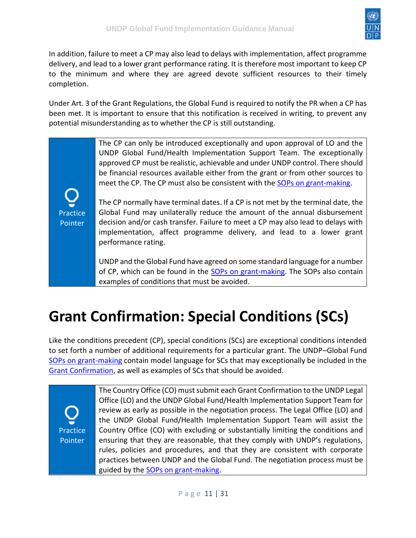

In addition, failure to meet a CP may also lead to delays with implementation, affect programme delivery, and lead to a lower grant performance rating. It is therefore most important to keep CP to the minimum and where they are agreed devote sufficient resources to their timely completion.

Under Art. 3 of the Grant Regulations, the Global Fund is required to notify the PR when a CP has been met. It is important to ensure that this notification is received in writing, to prevent any potential misunderstanding as to whether the CP is still outstanding.

> The CP can only be introduced exceptionally and upon approval of LO and the UNDP Global Fund/Health Implementation Support Team. The exceptionally approved CP must be realistic, achievable and under UNDP control. There should be financial resources available either from the grant or from other sources to meet the CP. The CP must also be consistent with the **SOPs on grant-making**.

Practice **Pointer** 

The CP normally have terminal dates. If a CP is not met by the terminal date, the Global Fund may unilaterally reduce the amount of the annual disbursement decision and/or cash transfer. Failure to meet a CP may also lead to delays with implementation, affect programme delivery, and lead to a lower grant performance rating.

UNDP and the Global Fund have agreed on some standard language for a number of CP, which can be found in the [SOPs on grant-making.](http://api.undphealthimplementation.org/api.svc/proxy/https:/intranet.undp.org/unit/bpps/hhd/GFpartnership/UNDPasPR/Legal%20Framework%20for%20Global%20Fund%20Grant%20Implementati/Guidelines%20on%20Negotiating%20Grant%20Agreements_SoPs%20on%20Grant%20Making.pdf) The SOPs also contain examples of conditions that must be avoided.

## <span id="page-10-0"></span>**Grant Confirmation: Special Conditions (SCs)**

Like the conditions precedent (CP), special conditions (SCs) are exceptional conditions intended to set forth a number of additional requirements for a particular grant. The UNDP–Global Fund [SOPs on grant-making](http://api.undphealthimplementation.org/api.svc/proxy/https:/intranet.undp.org/unit/bpps/hhd/GFpartnership/UNDPasPR/Legal%20Framework%20for%20Global%20Fund%20Grant%20Implementati/Guidelines%20on%20Negotiating%20Grant%20Agreements_SoPs%20on%20Grant%20Making.pdf) contain model language for SCs that may exceptionally be included in the [Grant Confirmation,](http://api.undphealthimplementation.org/api.svc/proxy/https:/intranet.undp.org/unit/bpps/hhd/GFpartnership/UNDPasPR/Legal%20Framework%20for%20Global%20Fund%20Grant%20Implementati/Template%20UNDP%20Grant%20Confirmation.docx) as well as examples of SCs that should be avoided.

**Practice** Pointer

The Country Office (CO) must submit each Grant Confirmation to the UNDP Legal Office (LO) and the UNDP Global Fund/Health Implementation Support Team for review as early as possible in the negotiation process. The Legal Office (LO) and the UNDP Global Fund/Health Implementation Support Team will assist the Country Office (CO) with excluding or substantially limiting the conditions and ensuring that they are reasonable, that they comply with UNDP's regulations, rules, policies and procedures, and that they are consistent with corporate practices between UNDP and the Global Fund. The negotiation process must be guided by the [SOPs on grant-making.](http://api.undphealthimplementation.org/api.svc/proxy/https:/intranet.undp.org/unit/bpps/hhd/GFpartnership/UNDPasPR/Legal%20Framework%20for%20Global%20Fund%20Grant%20Implementati/Guidelines%20on%20Negotiating%20Grant%20Agreements_SoPs%20on%20Grant%20Making.pdf)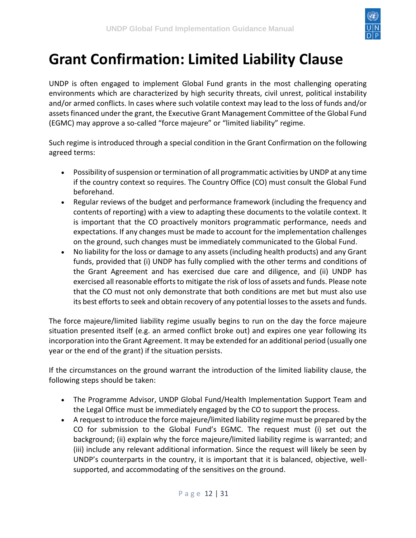

## <span id="page-11-0"></span>**Grant Confirmation: Limited Liability Clause**

UNDP is often engaged to implement Global Fund grants in the most challenging operating environments which are characterized by high security threats, civil unrest, political instability and/or armed conflicts. In cases where such volatile context may lead to the loss of funds and/or assets financed under the grant, the Executive Grant Management Committee of the Global Fund (EGMC) may approve a so-called "force majeure" or "limited liability" regime.

Such regime is introduced through a special condition in the Grant Confirmation on the following agreed terms:

- Possibility of suspension or termination of all programmatic activities by UNDP at any time if the country context so requires. The Country Office (CO) must consult the Global Fund beforehand.
- Regular reviews of the budget and performance framework (including the frequency and contents of reporting) with a view to adapting these documents to the volatile context. It is important that the CO proactively monitors programmatic performance, needs and expectations. If any changes must be made to account for the implementation challenges on the ground, such changes must be immediately communicated to the Global Fund.
- No liability for the loss or damage to any assets (including health products) and any Grant funds, provided that (i) UNDP has fully complied with the other terms and conditions of the Grant Agreement and has exercised due care and diligence, and (ii) UNDP has exercised all reasonable efforts to mitigate the risk of loss of assets and funds. Please note that the CO must not only demonstrate that both conditions are met but must also use its best efforts to seek and obtain recovery of any potential losses to the assets and funds.

The force majeure/limited liability regime usually begins to run on the day the force majeure situation presented itself (e.g. an armed conflict broke out) and expires one year following its incorporation into the Grant Agreement. It may be extended for an additional period (usually one year or the end of the grant) if the situation persists.

If the circumstances on the ground warrant the introduction of the limited liability clause, the following steps should be taken:

- The Programme Advisor, UNDP Global Fund/Health Implementation Support Team and the Legal Office must be immediately engaged by the CO to support the process.
- A request to introduce the force majeure/limited liability regime must be prepared by the CO for submission to the Global Fund's EGMC. The request must (i) set out the background; (ii) explain why the force majeure/limited liability regime is warranted; and (iii) include any relevant additional information. Since the request will likely be seen by UNDP's counterparts in the country, it is important that it is balanced, objective, wellsupported, and accommodating of the sensitives on the ground.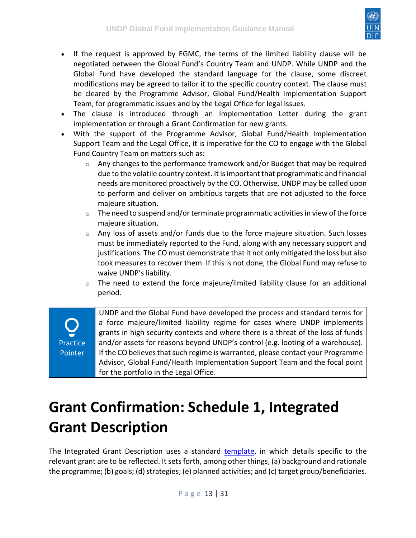

- If the request is approved by EGMC, the terms of the limited liability clause will be negotiated between the Global Fund's Country Team and UNDP. While UNDP and the Global Fund have developed the standard language for the clause, some discreet modifications may be agreed to tailor it to the specific country context. The clause must be cleared by the Programme Advisor, Global Fund/Health Implementation Support Team, for programmatic issues and by the Legal Office for legal issues.
- The clause is introduced through an Implementation Letter during the grant implementation or through a Grant Confirmation for new grants.
- With the support of the Programme Advisor, Global Fund/Health Implementation Support Team and the Legal Office, it is imperative for the CO to engage with the Global Fund Country Team on matters such as:
	- $\circ$  Any changes to the performance framework and/or Budget that may be required due to the volatile country context. It is important that programmatic and financial needs are monitored proactively by the CO. Otherwise, UNDP may be called upon to perform and deliver on ambitious targets that are not adjusted to the force majeure situation.
	- $\circ$  The need to suspend and/or terminate programmatic activities in view of the force majeure situation.
	- $\circ$  Any loss of assets and/or funds due to the force majeure situation. Such losses must be immediately reported to the Fund, along with any necessary support and justifications. The CO must demonstrate that it not only mitigated the loss but also took measures to recover them. If this is not done, the Global Fund may refuse to waive UNDP's liability.
	- $\circ$  The need to extend the force majeure/limited liability clause for an additional period.

**Practice** Pointer UNDP and the Global Fund have developed the process and standard terms for a force majeure/limited liability regime for cases where UNDP implements grants in high security contexts and where there is a threat of the loss of funds and/or assets for reasons beyond UNDP's control (e.g. looting of a warehouse). If the CO believes that such regime is warranted, please contact your Programme Advisor, Global Fund/Health Implementation Support Team and the focal point for the portfolio in the Legal Office.

## <span id="page-12-0"></span>**Grant Confirmation: Schedule 1, Integrated Grant Description**

The Integrated Grant Description uses a standard [template,](http://api.undphealthimplementation.org/api.svc/proxy/https:/intranet.undp.org/unit/bpps/hhd/GFpartnership/UNDPasPR/Legal%20Framework%20for%20Global%20Fund%20Grant%20Implementati/Template%20UNDP%20Grant%20Confirmation.docx) in which details specific to the relevant grant are to be reflected. It sets forth, among other things, (a) background and rationale the programme; (b) goals; (d) strategies; (e) planned activities; and (c) target group/beneficiaries.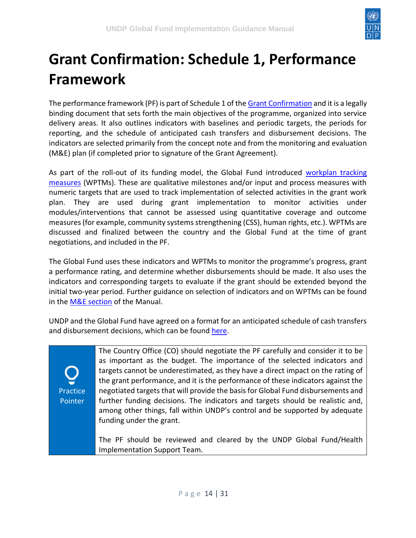

## <span id="page-13-0"></span>**Grant Confirmation: Schedule 1, Performance Framework**

The performance framework (PF) is part of Schedule 1 of the [Grant Confirmation](http://api.undphealthimplementation.org/api.svc/proxy/https:/intranet.undp.org/unit/bpps/hhd/GFpartnership/UNDPasPR/Legal%20Framework%20for%20Global%20Fund%20Grant%20Implementati/Template%20UNDP%20Grant%20Confirmation.docx) and it is a legally binding document that sets forth the main objectives of the programme, organized into service delivery areas. It also outlines indicators with baselines and periodic targets, the periods for reporting, and the schedule of anticipated cash transfers and disbursement decisions. The indicators are selected primarily from the concept note and from the monitoring and evaluation (M&E) plan (if completed prior to signature of the Grant Agreement).

As part of the roll-out of its funding model, the Global Fund introduced [workplan tracking](https://undphealthimplementation.org/functional-areas/monitoring-and-evaluation/me-components-of-grant-making/performance-framework/workplan-tracking-measures/)  [measures](https://undphealthimplementation.org/functional-areas/monitoring-and-evaluation/me-components-of-grant-making/performance-framework/workplan-tracking-measures/) (WPTMs). These are qualitative milestones and/or input and process measures with numeric targets that are used to track implementation of selected activities in the grant work plan. They are used during grant implementation to monitor activities under modules/interventions that cannot be assessed using quantitative coverage and outcome measures (for example, community systems strengthening (CSS), human rights, etc.). WPTMs are discussed and finalized between the country and the Global Fund at the time of grant negotiations, and included in the PF.

The Global Fund uses these indicators and WPTMs to monitor the programme's progress, grant a performance rating, and determine whether disbursements should be made. It also uses the indicators and corresponding targets to evaluate if the grant should be extended beyond the initial two-year period. Further guidance on selection of indicators and on WPTMs can be found in the [M&E section](https://undphealthimplementation.org/functional-areas/monitoring-and-evaluation/me-components-of-grant-making/performance-framework/workplan-tracking-measures/) of the Manual.

UNDP and the Global Fund have agreed on a format for an anticipated schedule of cash transfers and disbursement decisions, which can be found [here.](http://api.undphealthimplementation.org/api.svc/proxy/https:/intranet.undp.org/unit/bpps/hhd/GFpartnership/UNDPasPR/Legal%20Framework%20for%20Global%20Fund%20Grant%20Implementati/ADCD%20and%20Cash%20Transfer%20Schedule.docx)

Practice **Pointer** 

The Country Office (CO) should negotiate the PF carefully and consider it to be as important as the budget. The importance of the selected indicators and targets cannot be underestimated, as they have a direct impact on the rating of the grant performance, and it is the performance of these indicators against the negotiated targets that will provide the basis for Global Fund disbursements and further funding decisions. The indicators and targets should be realistic and, among other things, fall within UNDP's control and be supported by adequate funding under the grant.

The PF should be reviewed and cleared by the UNDP Global Fund/Health Implementation Support Team.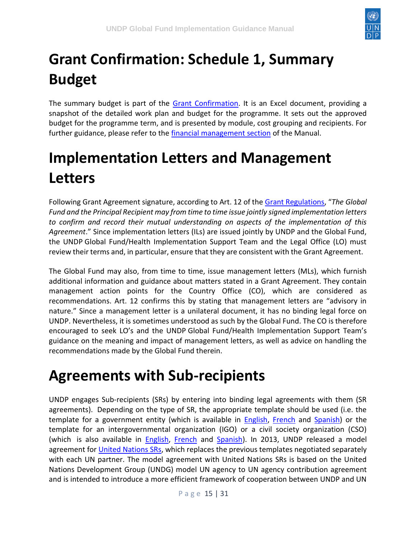

# <span id="page-14-0"></span>**Grant Confirmation: Schedule 1, Summary Budget**

The summary budget is part of the [Grant Confirmation.](http://api.undphealthimplementation.org/api.svc/proxy/https:/intranet.undp.org/unit/bpps/hhd/GFpartnership/UNDPasPR/Legal%20Framework%20for%20Global%20Fund%20Grant%20Implementati/Template%20UNDP%20Grant%20Confirmation.docx) It is an Excel document, providing a snapshot of the detailed work plan and budget for the programme. It sets out the approved budget for the programme term, and is presented by module, cost grouping and recipients. For further guidance, please refer to the [financial management section](https://undphealthimplementation.org/functional-areas/financial-management/grant-making-and-signing/prepare-and-negotiate-work-plan-and-budget-with-the-global-fund/) of the Manual.

## <span id="page-14-1"></span>**Implementation Letters and Management Letters**

Following Grant Agreement signature, according to Art. 12 of the [Grant Regulations](https://undphealthimplementation.org/functional-areas/legal-framework/the-grant-agreement/undp-global-fund-grant-regulations/), "*The Global Fund and the Principal Recipient may from time to time issue jointly signed implementation letters to confirm and record their mutual understanding on aspects of the implementation of this Agreement*." Since implementation letters (ILs) are issued jointly by UNDP and the Global Fund, the UNDP Global Fund/Health Implementation Support Team and the Legal Office (LO) must review their terms and, in particular, ensure that they are consistent with the Grant Agreement.

The Global Fund may also, from time to time, issue management letters (MLs), which furnish additional information and guidance about matters stated in a Grant Agreement. They contain management action points for the Country Office (CO), which are considered as recommendations. Art. 12 confirms this by stating that management letters are "advisory in nature." Since a management letter is a unilateral document, it has no binding legal force on UNDP. Nevertheless, it is sometimes understood as such by the Global Fund. The CO is therefore encouraged to seek LO's and the UNDP Global Fund/Health Implementation Support Team's guidance on the meaning and impact of management letters, as well as advice on handling the recommendations made by the Global Fund therein.

### <span id="page-14-2"></span>**Agreements with Sub-recipients**

UNDP engages Sub-recipients (SRs) by entering into binding legal agreements with them (SR agreements). Depending on the type of SR, the appropriate template should be used (i.e. the template for a government entity (which is available in **English, [French](https://intranet.undp.org/unit/bpps/hhd/GFpartnership/UNDPasPR/Legal%20Framework%20for%20Global%20Fund%20Grant%20Implementati/Model%20UNDP%20SR%20agreement%20with%20Government,%20September%202012%20-%20FRENCH.docx)** and [Spanish\)](https://intranet.undp.org/unit/bpps/hhd/GFpartnership/UNDPasPR/Legal%20Framework%20for%20Global%20Fund%20Grant%20Implementati/Model%20UNDP%20SR%20Agreement%20with%20Government%20Entity,%20September%202012%20-%20SPANISH.doc) or the template for an intergovernmental organization (IGO) or a civil society organization (CSO) (which is also available in **[English,](https://intranet.undp.org/unit/bpps/hhd/GFpartnership/UNDPasPR/Legal%20Framework%20for%20Global%20Fund%20Grant%20Implementati/Model%20UNDP%20SR%20Agreement%20with%20CSO,%20September%202012%20-%20English.docx) [French](https://intranet.undp.org/unit/bpps/hhd/GFpartnership/UNDPasPR/Legal%20Framework%20for%20Global%20Fund%20Grant%20Implementati/Model%20UNDP%20SR%20agreement%20with%20CSO,%20%20September%202012%20-%20FRENCH.docx) and Spanish**). In 2013, UNDP released a model agreement for [United Nations SRs,](https://intranet.undp.org/unit/bpps/hhd/GFpartnership/UNDPasPR/Legal%20Framework%20for%20Global%20Fund%20Grant%20Implementati/Model%20SR%20Agreement%20with%20UN%20Entities%20(2017).pdf) which replaces the previous templates negotiated separately with each UN partner. The model agreement with United Nations SRs is based on the United Nations Development Group (UNDG) model UN agency to UN agency contribution agreement and is intended to introduce a more efficient framework of cooperation between UNDP and UN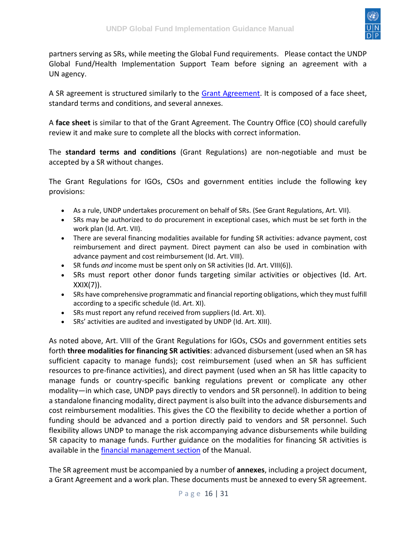

partners serving as SRs, while meeting the Global Fund requirements. Please contact the UNDP Global Fund/Health Implementation Support Team before signing an agreement with a UN agency.

A SR agreement is structured similarly to the [Grant Agreement.](https://undphealthimplementation.org/functional-areas/legal-framework/the-grant-agreement/) It is composed of a face sheet, standard terms and conditions, and several annexes.

A **face sheet** is similar to that of the Grant Agreement. The Country Office (CO) should carefully review it and make sure to complete all the blocks with correct information.

The **standard terms and conditions** (Grant Regulations) are non-negotiable and must be accepted by a SR without changes.

The Grant Regulations for IGOs, CSOs and government entities include the following key provisions:

- As a rule, UNDP undertakes procurement on behalf of SRs. (See Grant Regulations, Art. VII).
- SRs may be authorized to do procurement in exceptional cases, which must be set forth in the work plan (Id. Art. VII).
- There are several financing modalities available for funding SR activities: advance payment, cost reimbursement and direct payment. Direct payment can also be used in combination with advance payment and cost reimbursement (Id. Art. VIII).
- SR funds *and* income must be spent only on SR activities (Id. Art. VIII(6)).
- SRs must report other donor funds targeting similar activities or objectives (Id. Art. XXIX(7)).
- SRs have comprehensive programmatic and financial reporting obligations, which they must fulfill according to a specific schedule (Id. Art. XI).
- SRs must report any refund received from suppliers (Id. Art. XI).
- SRs' activities are audited and investigated by UNDP (Id. Art. XIII).

As noted above, Art. VIII of the Grant Regulations for IGOs, CSOs and government entities sets forth **three modalities for financing SR activities**: advanced disbursement (used when an SR has sufficient capacity to manage funds); cost reimbursement (used when an SR has sufficient resources to pre-finance activities), and direct payment (used when an SR has little capacity to manage funds or country-specific banking regulations prevent or complicate any other modality—in which case, UNDP pays directly to vendors and SR personnel). In addition to being a standalone financing modality, direct payment is also built into the advance disbursements and cost reimbursement modalities. This gives the CO the flexibility to decide whether a portion of funding should be advanced and a portion directly paid to vendors and SR personnel. Such flexibility allows UNDP to manage the risk accompanying advance disbursements while building SR capacity to manage funds. Further guidance on the modalities for financing SR activities is available in the [financial management section](https://undphealthimplementation.org/functional-areas/financial-management/sub-recipient-management/) of the Manual.

The SR agreement must be accompanied by a number of **annexes**, including a project document, a Grant Agreement and a work plan. These documents must be annexed to every SR agreement.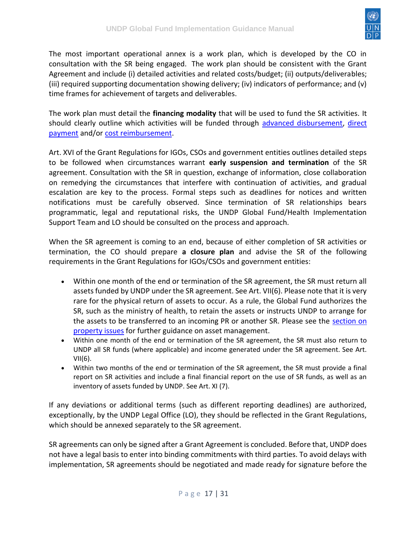

The most important operational annex is a work plan, which is developed by the CO in consultation with the SR being engaged. The work plan should be consistent with the Grant Agreement and include (i) detailed activities and related costs/budget; (ii) outputs/deliverables; (iii) required supporting documentation showing delivery; (iv) indicators of performance; and (v) time frames for achievement of targets and deliverables.

The work plan must detail the **financing modality** that will be used to fund the SR activities. It should clearly outline which activities will be funded through [advanced disbursement,](https://undphealthimplementation.org/functional-areas/financial-management/sub-recipient-management/direct-cash-transfers/) direct [payment](https://undphealthimplementation.org/functional-areas/financial-management/sub-recipient-management/direct-payments/) and/or [cost reimbursement.](https://undphealthimplementation.org/functional-areas/financial-management/sub-recipient-management/reimbursements/)

Art. XVI of the Grant Regulations for IGOs, CSOs and government entities outlines detailed steps to be followed when circumstances warrant **early suspension and termination** of the SR agreement. Consultation with the SR in question, exchange of information, close collaboration on remedying the circumstances that interfere with continuation of activities, and gradual escalation are key to the process. Formal steps such as deadlines for notices and written notifications must be carefully observed. Since termination of SR relationships bears programmatic, legal and reputational risks, the UNDP Global Fund/Health Implementation Support Team and LO should be consulted on the process and approach.

When the SR agreement is coming to an end, because of either completion of SR activities or termination, the CO should prepare **a closure plan** and advise the SR of the following requirements in the Grant Regulations for IGOs/CSOs and government entities:

- Within one month of the end or termination of the SR agreement, the SR must return all assets funded by UNDP under the SR agreement. See Art. VII(6). Please note that it is very rare for the physical return of assets to occur. As a rule, the Global Fund authorizes the SR, such as the ministry of health, to retain the assets or instructs UNDP to arrange for the assets to be transferred to an incoming PR or another SR. Please see the section on [property issues](https://undphealthimplementation.org/functional-areas/legal-framework/other-legal-and-implementation-considerations/property-issues/) for further guidance on asset management.
- Within one month of the end or termination of the SR agreement, the SR must also return to UNDP all SR funds (where applicable) and income generated under the SR agreement. See Art.  $VII(6)$ .
- Within two months of the end or termination of the SR agreement, the SR must provide a final report on SR activities and include a final financial report on the use of SR funds, as well as an inventory of assets funded by UNDP. See Art. XI (7).

If any deviations or additional terms (such as different reporting deadlines) are authorized, exceptionally, by the UNDP Legal Office (LO), they should be reflected in the Grant Regulations, which should be annexed separately to the SR agreement.

SR agreements can only be signed after a Grant Agreement is concluded. Before that, UNDP does not have a legal basis to enter into binding commitments with third parties. To avoid delays with implementation, SR agreements should be negotiated and made ready for signature before the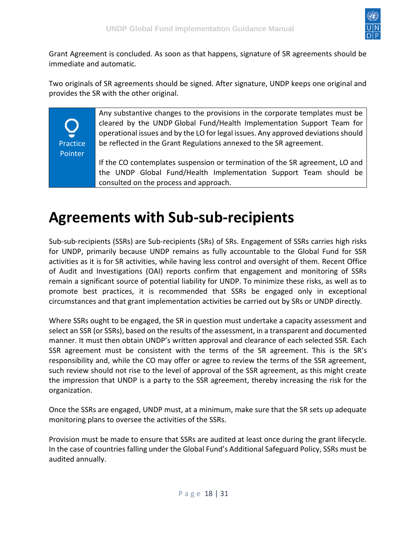

Grant Agreement is concluded. As soon as that happens, signature of SR agreements should be immediate and automatic.

Two originals of SR agreements should be signed. After signature, UNDP keeps one original and provides the SR with the other original.

> Any substantive changes to the provisions in the corporate templates must be cleared by the UNDP Global Fund/Health Implementation Support Team for operational issues and by the LO for legal issues. Any approved deviations should be reflected in the Grant Regulations annexed to the SR agreement.

If the CO contemplates suspension or termination of the SR agreement, LO and the UNDP Global Fund/Health Implementation Support Team should be consulted on the process and approach.

### <span id="page-17-0"></span>**Agreements with Sub-sub-recipients**

Practice Pointer

Sub-sub-recipients (SSRs) are Sub-recipients (SRs) of SRs. Engagement of SSRs carries high risks for UNDP, primarily because UNDP remains as fully accountable to the Global Fund for SSR activities as it is for SR activities, while having less control and oversight of them. Recent Office of Audit and Investigations (OAI) reports confirm that engagement and monitoring of SSRs remain a significant source of potential liability for UNDP. To minimize these risks, as well as to promote best practices, it is recommended that SSRs be engaged only in exceptional circumstances and that grant implementation activities be carried out by SRs or UNDP directly.

Where SSRs ought to be engaged, the SR in question must undertake a capacity assessment and select an SSR (or SSRs), based on the results of the assessment, in a transparent and documented manner. It must then obtain UNDP's written approval and clearance of each selected SSR. Each SSR agreement must be consistent with the terms of the SR agreement. This is the SR's responsibility and, while the CO may offer or agree to review the terms of the SSR agreement, such review should not rise to the level of approval of the SSR agreement, as this might create the impression that UNDP is a party to the SSR agreement, thereby increasing the risk for the organization.

Once the SSRs are engaged, UNDP must, at a minimum, make sure that the SR sets up adequate monitoring plans to oversee the activities of the SSRs.

Provision must be made to ensure that SSRs are audited at least once during the grant lifecycle. In the case of countries falling under the Global Fund's Additional Safeguard Policy, SSRs must be audited annually.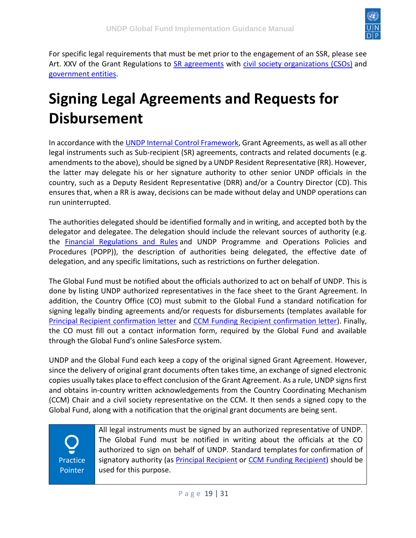

For specific legal requirements that must be met prior to the engagement of an SSR, please see Art. XXV of the Grant Regulations to [SR agreements](https://undphealthimplementation.org/functional-areas/legal-framework/agreements-with-sub-recipients/) with [civil society organizations \(CSOs\)](https://intranet.undp.org/unit/bpps/hhd/GFpartnership/UNDPasPR/Legal%20Framework%20for%20Global%20Fund%20Grant%20Implementati/Model%20UNDP%20SR%20Agreement%20with%20CSO,%20September%202012%20-%20English.docx) and [government entities.](https://intranet.undp.org/unit/bpps/hhd/GFpartnership/UNDPasPR/Legal%20Framework%20for%20Global%20Fund%20Grant%20Implementati/Model%20UNDP%20SR%20Agreement%20with%20Government%20Entity,%20September%202012%20-%20ENGLISH.doc)

## <span id="page-18-0"></span>**Signing Legal Agreements and Requests for Disbursement**

In accordance with th[e UNDP Internal Control Framework,](https://popp.undp.org/SitePages/POPPSubject.aspx?SBJID=7) Grant Agreements, as well as all other legal instruments such as Sub-recipient (SR) agreements, contracts and related documents (e.g. amendments to the above), should be signed by a UNDP Resident Representative (RR). However, the latter may delegate his or her signature authority to other senior UNDP officials in the country, such as a Deputy Resident Representative (DRR) and/or a Country Director (CD). This ensures that, when a RR is away, decisions can be made without delay and UNDP operations can run uninterrupted.

The authorities delegated should be identified formally and in writing, and accepted both by the delegator and delegatee. The delegation should include the relevant sources of authority (e.g. the [Financial Regulations and Rules](https://intranet.undp.org/unit/ofrm/sitepages/Financial%20Regulations%20and%20Rules%20-%20POPP.aspx) and UNDP Programme and Operations Policies and Procedures (POPP)), the description of authorities being delegated, the effective date of delegation, and any specific limitations, such as restrictions on further delegation.

The Global Fund must be notified about the officials authorized to act on behalf of UNDP. This is done by listing UNDP authorized representatives in the face sheet to the Grant Agreement. In addition, the Country Office (CO) must submit to the Global Fund a standard notification for signing legally binding agreements and/or requests for disbursements (templates available for [Principal Recipient confirmation letter](https://intranet.undp.org/unit/bpps/hhd/GFpartnership/UNDPasPR/Legal%20Framework%20for%20Global%20Fund%20Grant%20Implementati/UNDP%20Confirmation%20Letter%20for%20Signatory%20Authority%20-%20Principal%20Recipient.docx) and [CCM Funding Recipient confirmation letter\)](https://intranet.undp.org/unit/bpps/hhd/GFpartnership/UNDPasPR/Legal%20Framework%20for%20Global%20Fund%20Grant%20Implementati/UNDP%20Confirmation%20for%20Signatory%20Authority%20-%20CCM%20Funding%20Recipient.docx). Finally, the CO must fill out a contact information form, required by the Global Fund and available through the Global Fund's online SalesForce system.

UNDP and the Global Fund each keep a copy of the original signed Grant Agreement. However, since the delivery of original grant documents often takes time, an exchange of signed electronic copies usually takes place to effect conclusion of the Grant Agreement. As a rule, UNDP signs first and obtains in-country written acknowledgements from the Country Coordinating Mechanism (CCM) Chair and a civil society representative on the CCM. It then sends a signed copy to the Global Fund, along with a notification that the original grant documents are being sent.

Practice Pointer All legal instruments must be signed by an authorized representative of UNDP. The Global Fund must be notified in writing about the officials at the CO authorized to sign on behalf of UNDP. Standard templates for confirmation of signatory authority (as [Principal Recipient](https://intranet.undp.org/unit/bpps/hhd/GFpartnership/UNDPasPR/Legal%20Framework%20for%20Global%20Fund%20Grant%20Implementati/UNDP%20Confirmation%20Letter%20for%20Signatory%20Authority%20-%20Principal%20Recipient.docx) or [CCM Funding Recipient\)](https://intranet.undp.org/unit/bpps/hhd/GFpartnership/UNDPasPR/Legal%20Framework%20for%20Global%20Fund%20Grant%20Implementati/UNDP%20Confirmation%20for%20Signatory%20Authority%20-%20CCM%20Funding%20Recipient.docx) should be used for this purpose.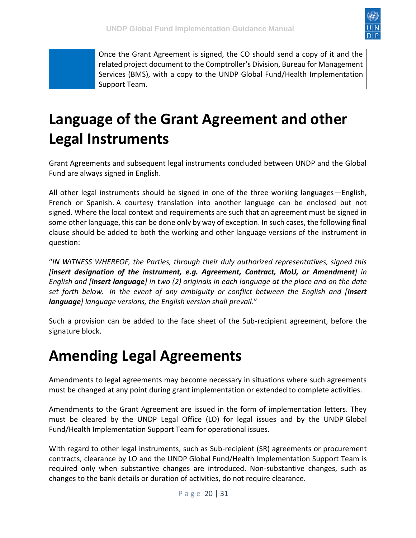

Once the Grant Agreement is signed, the CO should send a copy of it and the related project document to the Comptroller's Division, Bureau for Management Services (BMS), with a copy to the UNDP Global Fund/Health Implementation Support Team.

## <span id="page-19-0"></span>**Language of the Grant Agreement and other Legal Instruments**

Grant Agreements and subsequent legal instruments concluded between UNDP and the Global Fund are always signed in English.

All other legal instruments should be signed in one of the three working languages—English, French or Spanish. A courtesy translation into another language can be enclosed but not signed. Where the local context and requirements are such that an agreement must be signed in some other language, this can be done only by way of exception. In such cases, the following final clause should be added to both the working and other language versions of the instrument in question:

"*IN WITNESS WHEREOF, the Parties, through their duly authorized representatives, signed this [insert designation of the instrument, e.g. Agreement, Contract, MoU, or Amendment] in English and [insert language] in two (2) originals in each language at the place and on the date set forth below. In the event of any ambiguity or conflict between the English and [insert language] language versions, the English version shall prevail*."

Such a provision can be added to the face sheet of the Sub-recipient agreement, before the signature block.

#### <span id="page-19-1"></span>**Amending Legal Agreements**

Amendments to legal agreements may become necessary in situations where such agreements must be changed at any point during grant implementation or extended to complete activities.

Amendments to the Grant Agreement are issued in the form of implementation letters. They must be cleared by the UNDP Legal Office (LO) for legal issues and by the UNDP Global Fund/Health Implementation Support Team for operational issues.

With regard to other legal instruments, such as Sub-recipient (SR) agreements or procurement contracts, clearance by LO and the UNDP Global Fund/Health Implementation Support Team is required only when substantive changes are introduced. Non-substantive changes, such as changes to the bank details or duration of activities, do not require clearance.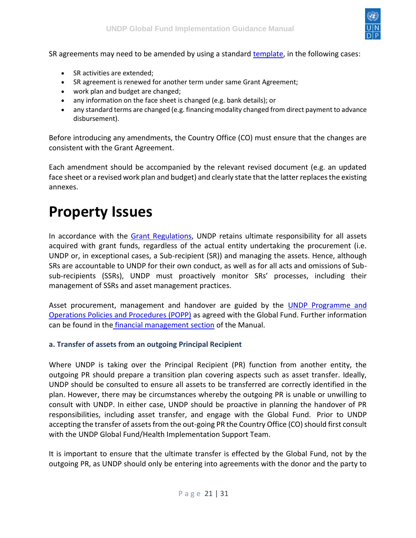

SR agreements may need to be amended by using a standard [template,](https://intranet.undp.org/unit/bpps/hhd/GFpartnership/UNDPasPR/Legal%20Framework%20for%20Global%20Fund%20Grant%20Implementati/Model%20AMENDMENT%20to%20UNDP%20SR%20Agreement%20(2012).doc) in the following cases:

- SR activities are extended;
- SR agreement is renewed for another term under same Grant Agreement;
- work plan and budget are changed;
- any information on the face sheet is changed (e.g. bank details); or
- any standard terms are changed (e.g. financing modality changed from direct payment to advance disbursement).

Before introducing any amendments, the Country Office (CO) must ensure that the changes are consistent with the Grant Agreement.

Each amendment should be accompanied by the relevant revised document (e.g. an updated face sheet or a revised work plan and budget) and clearly state that the latter replaces the existing annexes.

#### <span id="page-20-0"></span>**Property Issues**

In accordance with the [Grant Regulations,](https://undphealthimplementation.org/functional-areas/legal-framework/the-grant-agreement/undp-global-fund-grant-regulations/) UNDP retains ultimate responsibility for all assets acquired with grant funds, regardless of the actual entity undertaking the procurement (i.e. UNDP or, in exceptional cases, a Sub-recipient (SR)) and managing the assets. Hence, although SRs are accountable to UNDP for their own conduct, as well as for all acts and omissions of Subsub-recipients (SSRs), UNDP must proactively monitor SRs' processes, including their management of SSRs and asset management practices.

Asset procurement, management and handover are guided by the UNDP Programme and [Operations Policies and Procedures \(POPP\)](https://popp.undp.org/SitePages/POPPSubject.aspx?SBJID=258) as agreed with the Global Fund. Further information can be found in the [financial management section](https://undphealthimplementation.org/functional-areas/financial-management/grant-implementation/expenses-management/asset-management/) of the Manual.

#### <span id="page-20-1"></span>**a. Transfer of assets from an outgoing Principal Recipient**

Where UNDP is taking over the Principal Recipient (PR) function from another entity, the outgoing PR should prepare a transition plan covering aspects such as asset transfer. Ideally, UNDP should be consulted to ensure all assets to be transferred are correctly identified in the plan. However, there may be circumstances whereby the outgoing PR is unable or unwilling to consult with UNDP. In either case, UNDP should be proactive in planning the handover of PR responsibilities, including asset transfer, and engage with the Global Fund. Prior to UNDP accepting the transfer of assets from the out-going PR the Country Office (CO) should first consult with the UNDP Global Fund/Health Implementation Support Team.

It is important to ensure that the ultimate transfer is effected by the Global Fund, not by the outgoing PR, as UNDP should only be entering into agreements with the donor and the party to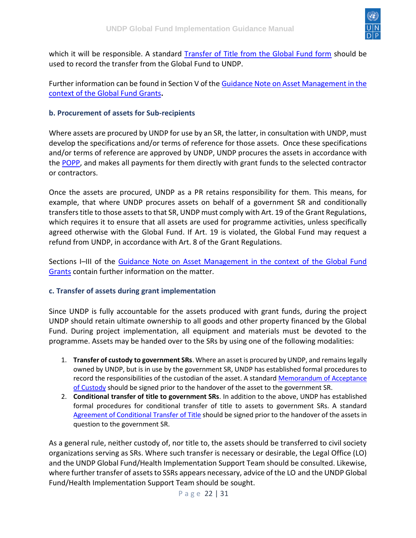

which it will be responsible. A standard [Transfer of Title from the Global Fund form](https://intranet.undp.org/unit/bpps/hhd/GFpartnership/UNDPasPR/Legal%20Framework%20for%20Global%20Fund%20Grant%20Implementati/Transfer%20of%20Title%20from%20GF%20to%20UNDP%20(When%20UNDP%20Takes%20Over%20as%20PR)%20(2012).doc) should be used to record the transfer from the Global Fund to UNDP.

Further information can be found in Section V of the [Guidance Note on Asset Management in the](https://intranet.undp.org/unit/bpps/hhd/GFpartnership/UNDPasPR/Legal%20Framework%20for%20Global%20Fund%20Grant%20Implementati/Asset%20Management%20in%20the%20Context%20of%20Global%20Fund%20Grants_Guidance%20(UNDP,%202013).pdf)  [context of the Global Fund Grants](https://intranet.undp.org/unit/bpps/hhd/GFpartnership/UNDPasPR/Legal%20Framework%20for%20Global%20Fund%20Grant%20Implementati/Asset%20Management%20in%20the%20Context%20of%20Global%20Fund%20Grants_Guidance%20(UNDP,%202013).pdf)**.**

#### <span id="page-21-0"></span>**b. Procurement of assets for Sub-recipients**

Where assets are procured by UNDP for use by an SR, the latter, in consultation with UNDP, must develop the specifications and/or terms of reference for those assets. Once these specifications and/or terms of reference are approved by UNDP, UNDP procures the assets in accordance with the [POPP,](https://popp.undp.org/SitePages/POPPBSUnit.aspx?BSUID=7) and makes all payments for them directly with grant funds to the selected contractor or contractors.

Once the assets are procured, UNDP as a PR retains responsibility for them. This means, for example, that where UNDP procures assets on behalf of a government SR and conditionally transfers title to those assets to that SR, UNDP must comply with Art. 19 of the Grant Regulations, which requires it to ensure that all assets are used for programme activities, unless specifically agreed otherwise with the Global Fund. If Art. 19 is violated, the Global Fund may request a refund from UNDP, in accordance with Art. 8 of the Grant Regulations.

Sections I–III of the [Guidance Note on Asset Management in the context of the Global Fund](https://intranet.undp.org/unit/bpps/hhd/GFpartnership/UNDPasPR/Legal%20Framework%20for%20Global%20Fund%20Grant%20Implementati/Asset%20Management%20in%20the%20Context%20of%20Global%20Fund%20Grants_Guidance%20(UNDP,%202013).pdf)  [Grants](https://intranet.undp.org/unit/bpps/hhd/GFpartnership/UNDPasPR/Legal%20Framework%20for%20Global%20Fund%20Grant%20Implementati/Asset%20Management%20in%20the%20Context%20of%20Global%20Fund%20Grants_Guidance%20(UNDP,%202013).pdf) contain further information on the matter.

#### <span id="page-21-1"></span>**c. Transfer of assets during grant implementation**

Since UNDP is fully accountable for the assets produced with grant funds, during the project UNDP should retain ultimate ownership to all goods and other property financed by the Global Fund. During project implementation, all equipment and materials must be devoted to the programme. Assets may be handed over to the SRs by using one of the following modalities:

- 1. **Transfer of custody to government SRs**. Where an asset is procured by UNDP, and remains legally owned by UNDP, but is in use by the government SR, UNDP has established formal procedures to record the responsibilities of the custodian of the asset. A standar[d Memorandum of Acceptance](https://intranet.undp.org/unit/bpps/hhd/GFpartnership/UNDPasPR/Legal%20Framework%20for%20Global%20Fund%20Grant%20Implementati/Memorandum%20of%20Acceptance%20of%20Custody%20from%20UNDP%20to%20Govt%20SR.docx)  [of Custody](https://intranet.undp.org/unit/bpps/hhd/GFpartnership/UNDPasPR/Legal%20Framework%20for%20Global%20Fund%20Grant%20Implementati/Memorandum%20of%20Acceptance%20of%20Custody%20from%20UNDP%20to%20Govt%20SR.docx) should be signed prior to the handover of the asset to the government SR.
- 2. **Conditional transfer of title to government SRs**. In addition to the above, UNDP has established formal procedures for conditional transfer of title to assets to government SRs. A standard [Agreement of Conditional Transfer of Title](https://intranet.undp.org/unit/bpps/hhd/GFpartnership/UNDPasPR/Legal%20Framework%20for%20Global%20Fund%20Grant%20Implementati/Transfer%20of%20Title%20from%20UNDP%20to%20Government%20SR.docx) should be signed prior to the handover of the assets in question to the government SR.

As a general rule, neither custody of, nor title to, the assets should be transferred to civil society organizations serving as SRs. Where such transfer is necessary or desirable, the Legal Office (LO) and the UNDP Global Fund/Health Implementation Support Team should be consulted. Likewise, where further transfer of assets to SSRs appears necessary, advice of the LO and the UNDP Global Fund/Health Implementation Support Team should be sought.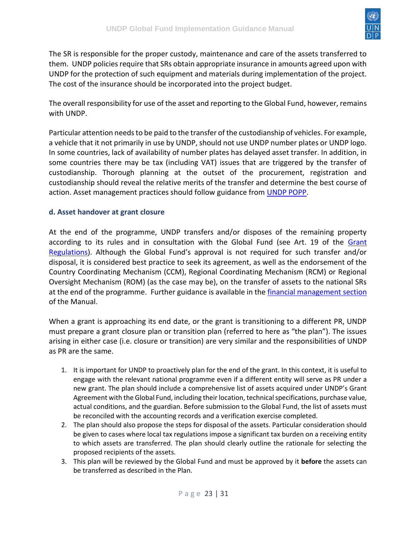

The SR is responsible for the proper custody, maintenance and care of the assets transferred to them. UNDP policies require that SRs obtain appropriate insurance in amounts agreed upon with UNDP for the protection of such equipment and materials during implementation of the project. The cost of the insurance should be incorporated into the project budget.

The overall responsibility for use of the asset and reporting to the Global Fund, however, remains with UNDP.

Particular attention needs to be paid to the transfer of the custodianship of vehicles. For example, a vehicle that it not primarily in use by UNDP, should not use UNDP number plates or UNDP logo. In some countries, lack of availability of number plates has delayed asset transfer. In addition, in some countries there may be tax (including VAT) issues that are triggered by the transfer of custodianship. Thorough planning at the outset of the procurement, registration and custodianship should reveal the relative merits of the transfer and determine the best course of action. Asset management practices should follow guidance from [UNDP POPP.](https://popp.undp.org/SitePages/POPPSubject.aspx?SBJID=258)

#### <span id="page-22-0"></span>**d. Asset handover at grant closure**

At the end of the programme, UNDP transfers and/or disposes of the remaining property according to its rules and in consultation with the Global Fund (see Art. 19 of the [Grant](https://intranet.undp.org/unit/bpps/hhd/GFpartnership/UNDPasPR/Legal%20Framework%20for%20Global%20Fund%20Grant%20Implementati/UNDP%20Global%20Fund%20Framework%20Agreement%20(%20Searchable%20PDF).pdf)  [Regulations](https://intranet.undp.org/unit/bpps/hhd/GFpartnership/UNDPasPR/Legal%20Framework%20for%20Global%20Fund%20Grant%20Implementati/UNDP%20Global%20Fund%20Framework%20Agreement%20(%20Searchable%20PDF).pdf)). Although the Global Fund's approval is not required for such transfer and/or disposal, it is considered best practice to seek its agreement, as well as the endorsement of the Country Coordinating Mechanism (CCM), Regional Coordinating Mechanism (RCM) or Regional Oversight Mechanism (ROM) (as the case may be), on the transfer of assets to the national SRs at the end of the programme. Further guidance is available in the [financial management section](https://undphealthimplementation.org/functional-areas/financial-management/grant-implementation/expenses-management/asset-management/) of the Manual.

When a grant is approaching its end date, or the grant is transitioning to a different PR, UNDP must prepare a grant closure plan or transition plan (referred to here as "the plan"). The issues arising in either case (i.e. closure or transition) are very similar and the responsibilities of UNDP as PR are the same.

- 1. It is important for UNDP to proactively plan for the end of the grant. In this context, it is useful to engage with the relevant national programme even if a different entity will serve as PR under a new grant. The plan should include a comprehensive list of assets acquired under UNDP's Grant Agreement with the Global Fund, including their location, technical specifications, purchase value, actual conditions, and the guardian. Before submission to the Global Fund, the list of assets must be reconciled with the accounting records and a verification exercise completed.
- 2. The plan should also propose the steps for disposal of the assets. Particular consideration should be given to cases where local tax regulations impose a significant tax burden on a receiving entity to which assets are transferred. The plan should clearly outline the rationale for selecting the proposed recipients of the assets.
- 3. This plan will be reviewed by the Global Fund and must be approved by it **before** the assets can be transferred as described in the Plan.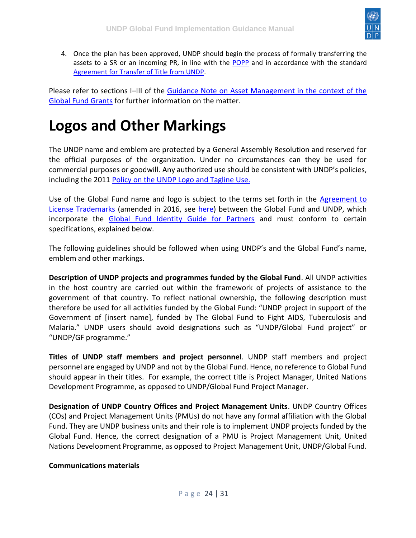

4. Once the plan has been approved, UNDP should begin the process of formally transferring the assets to a SR or an incoming PR, in line with the [POPP](https://popp.undp.org/SitePages/POPPSubject.aspx?SBJID=258) and in accordance with the standard [Agreement for Transfer of Title from UNDP.](https://intranet.undp.org/unit/bpps/hhd/GFpartnership/UNDPasPR/Legal%20Framework%20for%20Global%20Fund%20Grant%20Implementati/Transfer%20of%20Title%20from%20from%20UNDP%20to%20SR%20or%20PR%20(At%20Grant%20Closure)%20(2012).docx)

Please refer to sections I–III of the [Guidance Note on Asset Management in the context of the](https://intranet.undp.org/unit/bpps/hhd/GFpartnership/UNDPasPR/Legal%20Framework%20for%20Global%20Fund%20Grant%20Implementati/Asset%20Management%20in%20the%20Context%20of%20Global%20Fund%20Grants_Guidance%20(UNDP,%202013).pdf)  [Global Fund Grants](https://intranet.undp.org/unit/bpps/hhd/GFpartnership/UNDPasPR/Legal%20Framework%20for%20Global%20Fund%20Grant%20Implementati/Asset%20Management%20in%20the%20Context%20of%20Global%20Fund%20Grants_Guidance%20(UNDP,%202013).pdf) for further information on the matter.

## <span id="page-23-0"></span>**Logos and Other Markings**

The UNDP name and emblem are protected by a General Assembly Resolution and reserved for the official purposes of the organization. Under no circumstances can they be used for commercial purposes or goodwill. Any authorized use should be consistent with UNDP's policies, including the 2011 [Policy on the UNDP Logo and Tagline Use.](https://intranet.undp.org/unit/bpps/hhd/GFpartnership/UNDPasPR/Legal%20Framework%20for%20Global%20Fund%20Grant%20Implementati/UNDP%20Policy%20on%20logo%20and%20tagline%20use%202011.pdf)

Use of the Global Fund name and logo is subject to the terms set forth in the [Agreement to](https://intranet.undp.org/unit/bpps/hhd/GFpartnership/UNDPasPR/_layouts/15/WopiFrame.aspx?sourcedoc=/unit/bpps/hhd/GFpartnership/UNDPasPR/Legal%20Framework%20for%20Global%20Fund%20Grant%20Implementati/%E2%80%9CAgreement%20to%20License%20Trademarks%20between%20The%20Global%20Fund%20to%20Fight%20AIDS,%20Tuberculosis%20and%20Malaria%20and%20UNDP%E2%80%9Dwith%20changes.pdf)  [License Trademarks](https://intranet.undp.org/unit/bpps/hhd/GFpartnership/UNDPasPR/_layouts/15/WopiFrame.aspx?sourcedoc=/unit/bpps/hhd/GFpartnership/UNDPasPR/Legal%20Framework%20for%20Global%20Fund%20Grant%20Implementati/%E2%80%9CAgreement%20to%20License%20Trademarks%20between%20The%20Global%20Fund%20to%20Fight%20AIDS,%20Tuberculosis%20and%20Malaria%20and%20UNDP%E2%80%9Dwith%20changes.pdf) (amended in 2016, see [here\)](https://intranet.undp.org/unit/bpps/hhd/GFpartnership/UNDPasPR/Legal%20Framework%20for%20Global%20Fund%20Grant%20Implementati/Amendment%20Agreement%20Licence%20Trademarks%20GF%20%20UNDP.pdf) between the Global Fund and UNDP, which incorporate the [Global Fund Identity Guide for Partners](https://www.theglobalfund.org/media/6034/core_identityguideforpartners_guide_en.pdf) and must conform to certain specifications, explained below.

The following guidelines should be followed when using UNDP's and the Global Fund's name, emblem and other markings.

**Description of UNDP projects and programmes funded by the Global Fund**. All UNDP activities in the host country are carried out within the framework of projects of assistance to the government of that country. To reflect national ownership, the following description must therefore be used for all activities funded by the Global Fund: "UNDP project in support of the Government of [insert name], funded by The Global Fund to Fight AIDS, Tuberculosis and Malaria." UNDP users should avoid designations such as "UNDP/Global Fund project" or "UNDP/GF programme."

**Titles of UNDP staff members and project personnel**. UNDP staff members and project personnel are engaged by UNDP and not by the Global Fund. Hence, no reference to Global Fund should appear in their titles. For example, the correct title is Project Manager, United Nations Development Programme, as opposed to UNDP/Global Fund Project Manager.

**Designation of UNDP Country Offices and Project Management Units**. UNDP Country Offices (COs) and Project Management Units (PMUs) do not have any formal affiliation with the Global Fund. They are UNDP business units and their role is to implement UNDP projects funded by the Global Fund. Hence, the correct designation of a PMU is Project Management Unit, United Nations Development Programme, as opposed to Project Management Unit, UNDP/Global Fund.

#### **Communications materials**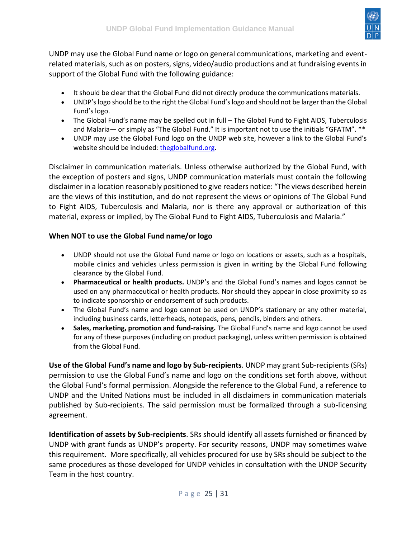

UNDP may use the Global Fund name or logo on general communications, marketing and eventrelated materials, such as on posters, signs, video/audio productions and at fundraising events in support of the Global Fund with the following guidance:

- It should be clear that the Global Fund did not directly produce the communications materials.
- UNDP's logo should be to the right the Global Fund's logo and should not be larger than the Global Fund's logo.
- The Global Fund's name may be spelled out in full The Global Fund to Fight AIDS, Tuberculosis and Malaria— or simply as "The Global Fund." It is important not to use the initials "GFATM". \*\*
- UNDP may use the Global Fund logo on the UNDP web site, however a link to the Global Fund's website should be included: [theglobalfund.org.](http://www.theglobalfund.org/)

Disclaimer in communication materials. Unless otherwise authorized by the Global Fund, with the exception of posters and signs, UNDP communication materials must contain the following disclaimer in a location reasonably positioned to give readers notice: "The views described herein are the views of this institution, and do not represent the views or opinions of The Global Fund to Fight AIDS, Tuberculosis and Malaria, nor is there any approval or authorization of this material, express or implied, by The Global Fund to Fight AIDS, Tuberculosis and Malaria."

#### **When NOT to use the Global Fund name/or logo**

- UNDP should not use the Global Fund name or logo on locations or assets, such as a hospitals, mobile clinics and vehicles unless permission is given in writing by the Global Fund following clearance by the Global Fund.
- **Pharmaceutical or health products.** UNDP's and the Global Fund's names and logos cannot be used on any pharmaceutical or health products. Nor should they appear in close proximity so as to indicate sponsorship or endorsement of such products.
- The Global Fund's name and logo cannot be used on UNDP's stationary or any other material, including business cards, letterheads, notepads, pens, pencils, binders and others.
- **Sales, marketing, promotion and fund-raising.** The Global Fund's name and logo cannot be used for any of these purposes (including on product packaging), unless written permission is obtained from the Global Fund.

**Use of the Global Fund's name and logo by Sub-recipients**. UNDP may grant Sub-recipients (SRs) permission to use the Global Fund's name and logo on the conditions set forth above, without the Global Fund's formal permission. Alongside the reference to the Global Fund, a reference to UNDP and the United Nations must be included in all disclaimers in communication materials published by Sub-recipients. The said permission must be formalized through a sub-licensing agreement.

**Identification of assets by Sub-recipients**. SRs should identify all assets furnished or financed by UNDP with grant funds as UNDP's property. For security reasons, UNDP may sometimes waive this requirement. More specifically, all vehicles procured for use by SRs should be subject to the same procedures as those developed for UNDP vehicles in consultation with the UNDP Security Team in the host country.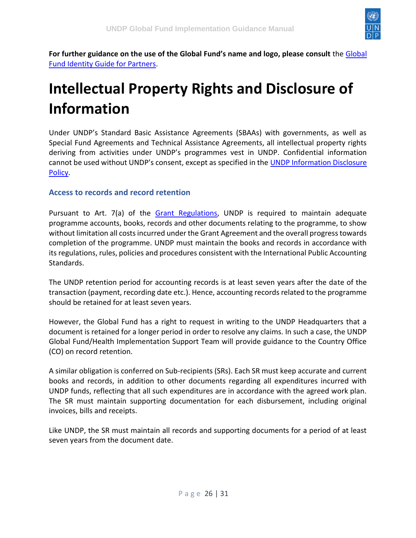

**For further guidance on the use of the Global Fund's name and logo, please consult** the [Global](https://www.theglobalfund.org/media/6034/core_identityguideforpartners_guide_en.pdf)  [Fund Identity Guide for Partners.](https://www.theglobalfund.org/media/6034/core_identityguideforpartners_guide_en.pdf)

## <span id="page-25-0"></span>**Intellectual Property Rights and Disclosure of Information**

Under UNDP's Standard Basic Assistance Agreements (SBAAs) with governments, as well as Special Fund Agreements and Technical Assistance Agreements, all intellectual property rights deriving from activities under UNDP's programmes vest in UNDP. Confidential information cannot be used without UNDP's consent, except as specified in the UNDP Information Disclosure [Policy.](http://www.undp.org/content/undp/en/home/operations/transparency/information_disclosurepolicy.html)

#### <span id="page-25-1"></span>**Access to records and record retention**

Pursuant to Art. 7(a) of the [Grant Regulations,](https://intranet.undp.org/unit/bpps/hhd/GFpartnership/UNDPasPR/Legal%20Framework%20for%20Global%20Fund%20Grant%20Implementati/UNDP%20Global%20Fund%20Framework%20Agreement%20(%20Signed).pdf) UNDP is required to maintain adequate programme accounts, books, records and other documents relating to the programme, to show without limitation all costs incurred under the Grant Agreement and the overall progress towards completion of the programme. UNDP must maintain the books and records in accordance with its regulations, rules, policies and procedures consistent with the International Public Accounting Standards.

The UNDP retention period for accounting records is at least seven years after the date of the transaction (payment, recording date etc.). Hence, accounting records related to the programme should be retained for at least seven years.

However, the Global Fund has a right to request in writing to the UNDP Headquarters that a document is retained for a longer period in order to resolve any claims. In such a case, the UNDP Global Fund/Health Implementation Support Team will provide guidance to the Country Office (CO) on record retention.

A similar obligation is conferred on Sub-recipients (SRs). Each SR must keep accurate and current books and records, in addition to other documents regarding all expenditures incurred with UNDP funds, reflecting that all such expenditures are in accordance with the agreed work plan. The SR must maintain supporting documentation for each disbursement, including original invoices, bills and receipts.

Like UNDP, the SR must maintain all records and supporting documents for a period of at least seven years from the document date.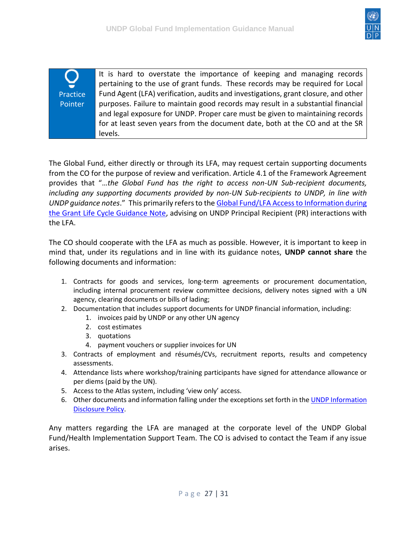

| У        | It is hard to overstate the importance of keeping and managing records<br>pertaining to the use of grant funds. These records may be required for Local           |
|----------|-------------------------------------------------------------------------------------------------------------------------------------------------------------------|
| Practice | Fund Agent (LFA) verification, audits and investigations, grant closure, and other                                                                                |
| Pointer  | purposes. Failure to maintain good records may result in a substantial financial<br>and legal exposure for UNDP. Proper care must be given to maintaining records |
|          | for at least seven years from the document date, both at the CO and at the SR<br>levels.                                                                          |

The Global Fund, either directly or through its LFA, may request certain supporting documents from the CO for the purpose of review and verification. Article 4.1 of the Framework Agreement provides that "…*the Global Fund has the right to access non-UN Sub-recipient documents, including any supporting documents provided by non-UN Sub-recipients to UNDP, in line with UNDP guidance notes*." This primarily refers to th[e Global Fund/LFA Access to Information during](https://intranet.undp.org/unit/bpps/hhd/GFpartnership/UNDPasPR/PR%20Start%20up%20Grant%20Making%20and%20Signing%20Library/Global%20Fund%20LFA%20Access%20to%20Information%20During%20the%20Grant%20Life%20Cycle%20Guidance%20Note%20(UNDP,%202010).pdf)  [the Grant Life Cycle Guidance Note,](https://intranet.undp.org/unit/bpps/hhd/GFpartnership/UNDPasPR/PR%20Start%20up%20Grant%20Making%20and%20Signing%20Library/Global%20Fund%20LFA%20Access%20to%20Information%20During%20the%20Grant%20Life%20Cycle%20Guidance%20Note%20(UNDP,%202010).pdf) advising on UNDP Principal Recipient (PR) interactions with the LFA.

The CO should cooperate with the LFA as much as possible. However, it is important to keep in mind that, under its regulations and in line with its guidance notes, **UNDP cannot share** the following documents and information:

- 1. Contracts for goods and services, long-term agreements or procurement documentation, including internal procurement review committee decisions, delivery notes signed with a UN agency, clearing documents or bills of lading;
- 2. Documentation that includes support documents for UNDP financial information, including:
	- 1. invoices paid by UNDP or any other UN agency
	- 2. cost estimates
	- 3. quotations
	- 4. payment vouchers or supplier invoices for UN
- 3. Contracts of employment and résumés/CVs, recruitment reports, results and competency assessments.
- 4. Attendance lists where workshop/training participants have signed for attendance allowance or per diems (paid by the UN).
- 5. Access to the Atlas system, including 'view only' access.
- 6. Other documents and information falling under the exceptions set forth in the UNDP Information [Disclosure Policy.](http://www.undp.org/content/undp/en/home/operations/transparency/information_disclosurepolicy.html)

Any matters regarding the LFA are managed at the corporate level of the UNDP Global Fund/Health Implementation Support Team. The CO is advised to contact the Team if any issue arises.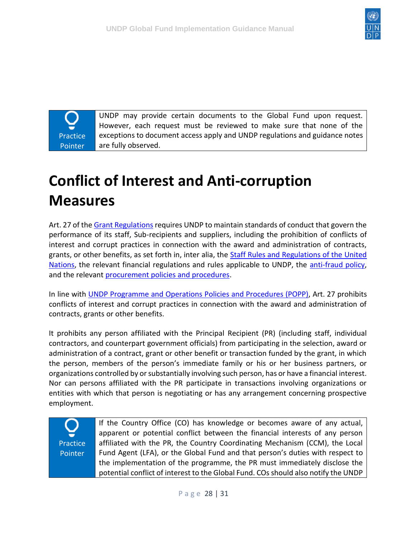

**Practice** Pointer

UNDP may provide certain documents to the Global Fund upon request. However, each request must be reviewed to make sure that none of the exceptions to document access apply and UNDP regulations and guidance notes are fully observed.

# <span id="page-27-0"></span>**Conflict of Interest and Anti-corruption Measures**

Art. 27 of the [Grant Regulations](https://intranet.undp.org/unit/bpps/hhd/GFpartnership/UNDPasPR/Legal%20Framework%20for%20Global%20Fund%20Grant%20Implementati/UNDP%20Global%20Fund%20Framework%20Agreement%20(%20Searchable%20PDF).pdf) requires UNDP to maintain standards of conduct that govern the performance of its staff, Sub-recipients and suppliers, including the prohibition of conflicts of interest and corrupt practices in connection with the award and administration of contracts, grants, or other benefits, as set forth in, inter alia, the [Staff Rules and Regulations of the United](https://popp.undp.org/UNDP_POPP_DOCUMENT_LIBRARY/Public/UN%20Staff%20Rules%20and%20Regulations.docx)  [Nations,](https://popp.undp.org/UNDP_POPP_DOCUMENT_LIBRARY/Public/UN%20Staff%20Rules%20and%20Regulations.docx) the relevant financial regulations and rules applicable to UNDP, the [anti-fraud policy,](https://popp.undp.org/SitePages/POPPSubject.aspx?SBJID=384&Menu=BusinessUnit) and the relevant [procurement policies and procedures.](https://popp.undp.org/SitePages/POPPBSUnit.aspx?BSUID=7)

In line with [UNDP Programme and Operations Policies and Procedures \(POPP\),](https://popp.undp.org/SitePages/POPPSubject.aspx?SBJID=212) Art. 27 prohibits conflicts of interest and corrupt practices in connection with the award and administration of contracts, grants or other benefits.

It prohibits any person affiliated with the Principal Recipient (PR) (including staff, individual contractors, and counterpart government officials) from participating in the selection, award or administration of a contract, grant or other benefit or transaction funded by the grant, in which the person, members of the person's immediate family or his or her business partners, or organizations controlled by or substantially involving such person, has or have a financial interest. Nor can persons affiliated with the PR participate in transactions involving organizations or entities with which that person is negotiating or has any arrangement concerning prospective employment.

**Practice** Pointer If the Country Office (CO) has knowledge or becomes aware of any actual, apparent or potential conflict between the financial interests of any person affiliated with the PR, the Country Coordinating Mechanism (CCM), the Local Fund Agent (LFA), or the Global Fund and that person's duties with respect to the implementation of the programme, the PR must immediately disclose the potential conflict of interest to the Global Fund. COs should also notify the UNDP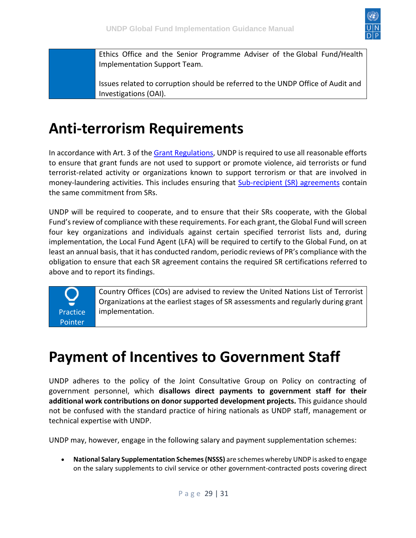

Ethics Office and the Senior Programme Adviser of the Global Fund/Health Implementation Support Team.

Issues related to corruption should be referred to the UNDP Office of Audit and Investigations (OAI).

#### <span id="page-28-0"></span>**Anti-terrorism Requirements**

In accordance with Art. 3 of th[e Grant Regulations,](https://intranet.undp.org/unit/bpps/hhd/GFpartnership/UNDPasPR/Legal%20Framework%20for%20Global%20Fund%20Grant%20Implementati/UNDP%20Global%20Fund%20Framework%20Agreement%20(%20Searchable%20PDF).pdf) UNDP is required to use all reasonable efforts to ensure that grant funds are not used to support or promote violence, aid terrorists or fund terrorist-related activity or organizations known to support terrorism or that are involved in money-laundering activities. This includes ensuring that **Sub-recipient (SR)** agreements contain the same commitment from SRs.

UNDP will be required to cooperate, and to ensure that their SRs cooperate, with the Global Fund's review of compliance with these requirements. For each grant, the Global Fund will screen four key organizations and individuals against certain specified terrorist lists and, during implementation, the Local Fund Agent (LFA) will be required to certify to the Global Fund, on at least an annual basis, that it has conducted random, periodic reviews of PR's compliance with the obligation to ensure that each SR agreement contains the required SR certifications referred to above and to report its findings.



Country Offices (COs) are advised to review the United Nations List of Terrorist Organizations at the earliest stages of SR assessments and regularly during grant implementation.

### <span id="page-28-1"></span>**Payment of Incentives to Government Staff**

UNDP adheres to the policy of the Joint Consultative Group on Policy on contracting of government personnel, which **disallows direct payments to government staff for their additional work contributions on donor supported development projects.** This guidance should not be confused with the standard practice of hiring nationals as UNDP staff, management or technical expertise with UNDP.

UNDP may, however, engage in the following salary and payment supplementation schemes:

• **National Salary Supplementation Schemes (NSSS)** are schemes whereby UNDP is asked to engage on the salary supplements to civil service or other government-contracted posts covering direct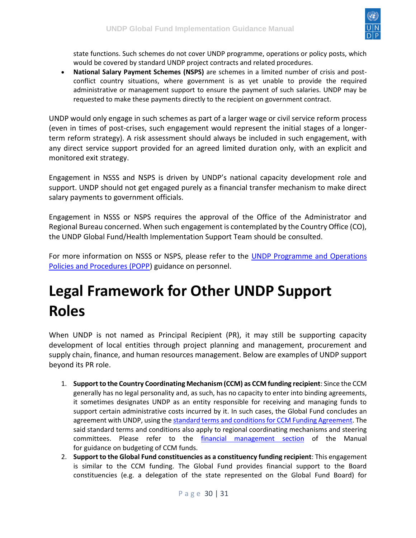

state functions. Such schemes do not cover UNDP programme, operations or policy posts, which would be covered by standard UNDP project contracts and related procedures.

• **National Salary Payment Schemes (NSPS)** are schemes in a limited number of crisis and postconflict country situations, where government is as yet unable to provide the required administrative or management support to ensure the payment of such salaries. UNDP may be requested to make these payments directly to the recipient on government contract.

UNDP would only engage in such schemes as part of a larger wage or civil service reform process (even in times of post-crises, such engagement would represent the initial stages of a longerterm reform strategy). A risk assessment should always be included in such engagement, with any direct service support provided for an agreed limited duration only, with an explicit and monitored exit strategy.

Engagement in NSSS and NSPS is driven by UNDP's national capacity development role and support. UNDP should not get engaged purely as a financial transfer mechanism to make direct salary payments to government officials.

Engagement in NSSS or NSPS requires the approval of the Office of the Administrator and Regional Bureau concerned. When such engagement is contemplated by the Country Office (CO), the UNDP Global Fund/Health Implementation Support Team should be consulted.

For more information on NSSS or NSPS, please refer to the [UNDP Programme and Operations](https://popp.undp.org/UNDP_POPP_DOCUMENT_LIBRARY/Public/PPM_Project%20Management_UNDP%20Policy%20on%20Engagement%20on%20National%20Salary%20Schemes.docx)  [Policies and Procedures \(POPP\)](https://popp.undp.org/UNDP_POPP_DOCUMENT_LIBRARY/Public/PPM_Project%20Management_UNDP%20Policy%20on%20Engagement%20on%20National%20Salary%20Schemes.docx) guidance on personnel.

## <span id="page-29-0"></span>**Legal Framework for Other UNDP Support Roles**

When UNDP is not named as Principal Recipient (PR), it may still be supporting capacity development of local entities through project planning and management, procurement and supply chain, finance, and human resources management. Below are examples of UNDP support beyond its PR role.

- 1. **Support to the Country Coordinating Mechanism (CCM) as CCM funding recipient**: Since the CCM generally has no legal personality and, as such, has no capacity to enter into binding agreements, it sometimes designates UNDP as an entity responsible for receiving and managing funds to support certain administrative costs incurred by it. In such cases, the Global Fund concludes an agreement with UNDP, using the [standard terms and conditions for CCM Funding Agreement.](https://intranet.undp.org/unit/bpps/hhd/GFpartnership/UNDPasPR/Legal%20Framework%20for%20Global%20Fund%20Grant%20Implementati/CCM%20STCs%20-%20GF-UNDP.pdf) The said standard terms and conditions also apply to regional coordinating mechanisms and steering committees. Please refer to the [financial management section](https://undphealthimplementation.org/functional-areas/financial-management/ccm-funding/) of the Manual for guidance on budgeting of CCM funds.
- 2. **Support to the Global Fund constituencies as a constituency funding recipient**: This engagement is similar to the CCM funding. The Global Fund provides financial support to the Board constituencies (e.g. a delegation of the state represented on the Global Fund Board) for